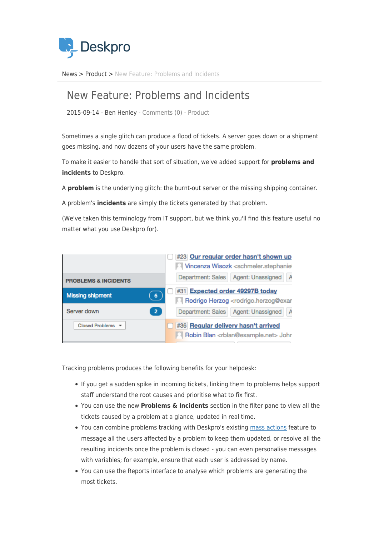

[News](https://support.deskpro.com/ro/news) > [Product](https://support.deskpro.com/ro/news/product) > [New Feature: Problems and Incidents](https://support.deskpro.com/ro/news/posts/new-feature-problems-and-incidents)

## New Feature: Problems and Incidents

2015-09-14 - Ben Henley - [Comments \(0\)](#page--1-0) - [Product](https://support.deskpro.com/ro/news/product)

Sometimes a single glitch can produce a flood of tickets. A server goes down or a shipment goes missing, and now dozens of your users have the same problem.

To make it easier to handle that sort of situation, we've added support for **problems and incidents** to Deskpro.

A **problem** is the underlying glitch: the burnt-out server or the missing shipping container.

A problem's **incidents** are simply the tickets generated by that problem.

(We've taken this terminology from IT support, but we think you'll find this feature useful no matter what you use Deskpro for).



Tracking problems produces the following benefits for your helpdesk:

- If you get a sudden spike in incoming tickets, linking them to problems helps support staff understand the root causes and prioritise what to fix first.
- You can use the new **Problems & Incidents** section in the filter pane to view all the tickets caused by a problem at a glance, updated in real time.
- You can combine problems tracking with Deskpro's existing [mass actions](https://support.deskpro.com/guides/topic/244) feature to message all the users affected by a problem to keep them updated, or resolve all the resulting incidents once the problem is closed - you can even personalise messages with variables; for example, ensure that each user is addressed by name.
- You can use the Reports interface to analyse which problems are generating the most tickets.